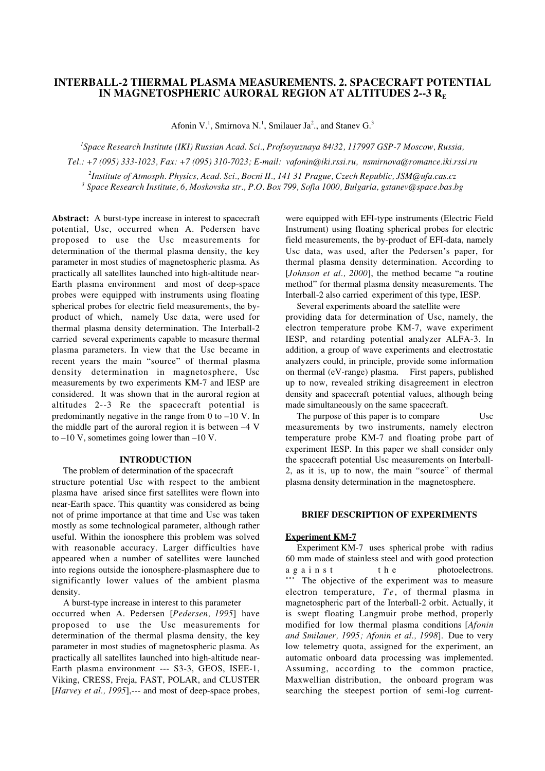# **INTERBALL-2 THERMAL PLASMA MEASUREMENTS. 2. SPACECRAFT POTENTIAL IN MAGNETOSPHERIC AURORAL REGION AT ALTITUDES 2--3 R<sub>E</sub>**

Afonin V.<sup>1</sup>, Smirnova N.<sup>1</sup>, Smilauer Ja<sup>2</sup>., and Stanev G.<sup>3</sup>

 *Space Research Institute (IKI) Russian Acad. Sci., Profsoyuznaya 84/32, 117997 GSP-7 Moscow, Russia, Tel.: +7 (095) 333-1023, Fax: +7 (095) 310-7023; E-mail: vafonin@iki.rssi.ru, nsmirnova@romance.iki.rssi.ru Institute of Atmosph. Physics, Acad. Sci., Bocni II., 141 31 Prague, Czech Republic, JSM@ufa.cas.cz Space Research Institute, 6, Moskovska str., P.O. Box 799, Sofia 1000, Bulgaria, gstanev@space.bas.bg*

**Abstract:** A burst-type increase in interest to spacecraft potential, Usc, occurred when A. Pedersen have proposed to use the Usc measurements for determination of the thermal plasma density, the key parameter in most studies of magnetospheric plasma. As practically all satellites launched into high-altitude near-Earth plasma environment and most of deep-space probes were equipped with instruments using floating spherical probes for electric field measurements, the byproduct of which, namely Usc data, were used for thermal plasma density determination. The Interball-2 carried several experiments capable to measure thermal plasma parameters. In view that the Usc became in recent years the main "source" of thermal plasma density determination in magnetosphere, Usc measurements by two experiments KM-7 and IESP are considered. It was shown that in the auroral region at altitudes 2--3 Re the spacecraft potential is predominantly negative in the range from 0 to –10 V. In the middle part of the auroral region it is between –4 V to  $-10$  V, sometimes going lower than  $-10$  V.

#### **INTRODUCTION**

 The problem of determination of the spacecraft structure potential Usc with respect to the ambient plasma have arised since first satellites were flown into near-Earth space. This quantity was considered as being not of prime importance at that time and Usc was taken mostly as some technological parameter, although rather useful. Within the ionosphere this problem was solved with reasonable accuracy. Larger difficulties have appeared when a number of satellites were launched into regions outside the ionosphere-plasmasphere due to significantly lower values of the ambient plasma density.

 A burst-type increase in interest to this parameter occurred when A. Pedersen [*Pedersen, 1995*] have proposed to use the Usc measurements for determination of the thermal plasma density, the key parameter in most studies of magnetospheric plasma. As practically all satellites launched into high-altitude near-Earth plasma environment --- S3-3, GEOS, ISEE-1, Viking, CRESS, Freja, FAST, POLAR, and CLUSTER [*Harvey et al., 1995*],--- and most of deep-space probes, were equipped with EFI-type instruments (Electric Field Instrument) using floating spherical probes for electric field measurements, the by-product of EFI-data, namely Usc data, was used, after the Pedersen's paper, for thermal plasma density determination. According to [*Johnson et al., 2000*], the method became "a routine method" for thermal plasma density measurements. The Interball-2 also carried experiment of this type, IESP.

 Several experiments aboard the satellite were providing data for determination of Usc, namely, the electron temperature probe KM-7, wave experiment IESP, and retarding potential analyzer ALFA-3. In addition, a group of wave experiments and electrostatic analyzers could, in principle, provide some information on thermal (eV-range) plasma. First papers, published up to now, revealed striking disagreement in electron density and spacecraft potential values, although being made simultaneously on the same spacecraft.

The purpose of this paper is to compare Usc measurements by two instruments, namely electron temperature probe KM-7 and floating probe part of experiment IESP. In this paper we shall consider only the spacecraft potential Usc measurements on Interball-2, as it is, up to now, the main "source" of thermal plasma density determination in the magnetosphere.

## **BRIEF DESCRIPTION OF EXPERIMENTS**

#### **Experiment KM-7**

 Experiment KM-7 uses spherical probe with radius 60 mm made of stainless steel and with good protection against the photoelectrons. \*\*\* The objective of the experiment was to measure electron temperature, *Te*, of thermal plasma in magnetospheric part of the Interball-2 orbit. Actually, it is swept floating Langmuir probe method, properly modified for low thermal plasma conditions [*Afonin and Smilauer, 1995; Afonin et al., 1998*]. Due to very low telemetry quota, assigned for the experiment, an automatic onboard data processing was implemented. Assuming, according to the common practice, Maxwellian distribution, the onboard program was searching the steepest portion of semi-log current-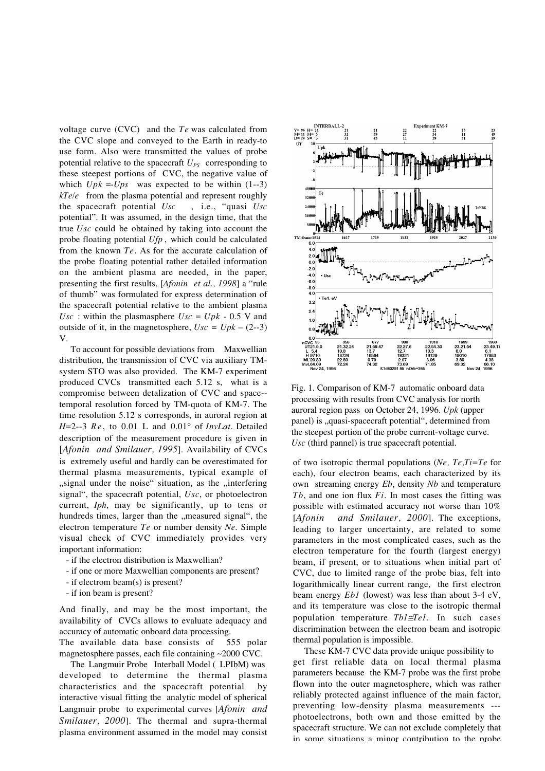voltage curve (CVC) and the *Te* was calculated from the CVC slope and conveyed to the Earth in ready-to use form. Also were transmitted the values of probe potential relative to the spacecraft  $U_{PS}$  corresponding to these steepest portions of CVC, the negative value of which  $Upk = Ups$  was expected to be within  $(1-3)$ *kTe/e* from the plasma potential and represent roughly the spacecraft potential *Usc* , i.e., "quasi *Usc* potential". It was assumed, in the design time, that the true *Usc* could be obtained by taking into account the probe floating potential *Ufp* , which could be calculated from the known *Te*. As for the accurate calculation of the probe floating potential rather detailed information on the ambient plasma are needed, in the paper, presenting the first results, [*Afonin et al., 1998*] a "rule of thumb" was formulated for express determination of the spacecraft potential relative to the ambient plasma Usc : within the plasmasphere  $Usc = Upk - 0.5$  V and outside of it, in the magnetosphere,  $Usc = Upk - (2-3)$ V.

 To account for possible deviations from Maxwellian distribution, the transmission of CVC via auxiliary TMsystem STO was also provided. The KM-7 experiment produced CVCs transmitted each 5.12 s, what is a compromise between detalization of CVC and space- temporal resolution forced by TM-quota of KM-7. The time resolution 5.12 s corresponds, in auroral region at *H*=2--3 *Re*, to 0.01 L and 0.01° of *InvLat*. Detailed description of the measurement procedure is given in [*Afonin and Smilauer, 1995*]. Availability of CVCs is extremely useful and hardly can be overestimated for thermal plasma measurements, typical example of "signal under the noise" situation, as the "interfering signal", the spacecraft potential, *Usc*, or photoelectron current, *Iph*, may be significantly, up to tens or hundreds times, larger than the "measured signal", the electron temperature *Te* or number density *Ne*. Simple visual check of CVC immediately provides very important information:

- if the electron distribution is Maxwellian?
- if one or more Maxwellian components are present?
- if electrom beam(s) is present?
- if ion beam is present?

And finally, and may be the most important, the availability of CVCs allows to evaluate adequacy and accuracy of automatic onboard data processing.

The available data base consists of 555 polar magnetosphere passes, each file containing ~2000 CVC.

 The Langmuir Probe Interball Model ( LPIbM) was developed to determine the thermal plasma characteristics and the spacecraft potential by interactive visual fitting the analytic model of spherical Langmuir probe to experimental curves [*Afonin and Smilauer, 2000*]. The thermal and supra-thermal plasma environment assumed in the model may consist



Fig. 1. Comparison of KM-7 automatic onboard data processing with results from CVC analysis for north auroral region pass on October 24, 1996. *Upk* (upper panel) is "quasi-spacecraft potential", determined from the steepest portion of the probe current-voltage curve. *Usc* (third pannel) is true spacecraft potential.

of two isotropic thermal populations (*Ne, Te,Ti=Te* for each), four electron beams, each characterized by its own streaming energy *Eb*, density *Nb* and temperature *Tb*, and one ion flux *Fi*. In most cases the fitting was possible with estimated accuracy not worse than 10% [*Afonin and Smilauer, 2000*]. The exceptions, leading to larger uncertainty, are related to some parameters in the most complicated cases, such as the electron temperature for the fourth (largest energy) beam, if present, or to situations when initial part of CVC, due to limited range of the probe bias, felt into logarithmically linear current range, the first electron beam energy *Eb1* (lowest) was less than about 3-4 eV, and its temperature was close to the isotropic thermal population temperature *Tb1*≅*Te1*. In such cases discrimination between the electron beam and isotropic thermal population is impossible.

 These KM-7 CVC data provide unique possibility to get first reliable data on local thermal plasma parameters because the KM-7 probe was the first probe flown into the outer magnetosphere, which was rather reliably protected against influence of the main factor, preventing low-density plasma measurements -- photoelectrons, both own and those emitted by the spacecraft structure. We can not exclude completely that in some situations a minor contribution to the probe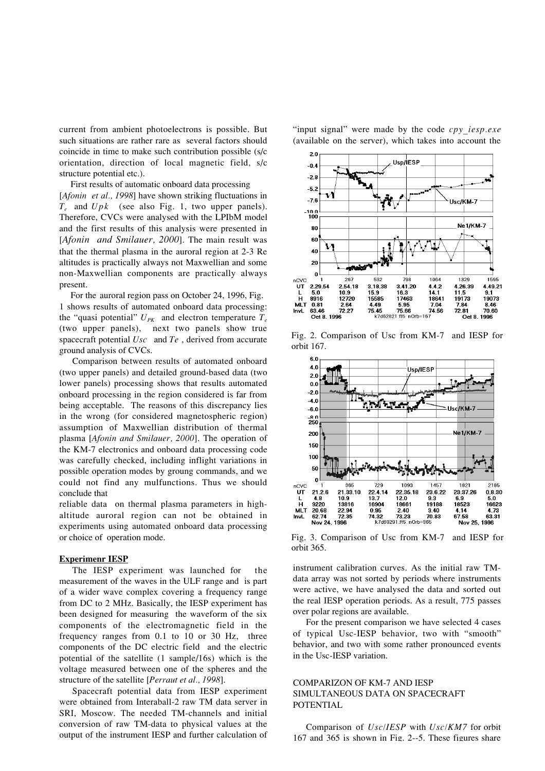current from ambient photoelectrons is possible. But such situations are rather rare as several factors should coincide in time to make such contribution possible (s/c orientation, direction of local magnetic field, s/c structure potential etc.).

 First results of automatic onboard data processing [*Afonin et al., 1998*] have shown striking fluctuations in *Te* and *Upk* (see also Fig. 1, two upper panels). Therefore, CVCs were analysed with the LPIbM model and the first results of this analysis were presented in [*Afonin and Smilauer, 2000*]. The main result was that the thermal plasma in the auroral region at 2-3 Re altitudes is practically always not Maxwellian and some non-Maxwellian components are practically always present.

 For the auroral region pass on October 24, 1996, Fig. 1 shows results of automated onboard data processing: the "quasi potential"  $U_{PK}$  and electron temperature  $T_e$ (two upper panels), next two panels show true spacecraft potential *Usc* and *Te* , derived from accurate ground analysis of CVCs.

Comparison between results of automated onboard (two upper panels) and detailed ground-based data (two lower panels) processing shows that results automated onboard processing in the region considered is far from being acceptable. The reasons of this discrepancy lies in the wrong (for considered magnetospheric region) assumption of Maxwellian distribution of thermal plasma [*Afonin and Smilauer, 2000*]. The operation of the KM-7 electronics and onboard data processing code was carefully checked, including inflight variations in possible operation modes by groung commands, and we could not find any mulfunctions. Thus we should conclude that

reliable data on thermal plasma parameters in highaltitude auroral region can not be obtained in experiments using automated onboard data processing or choice of operation mode.

### **Experimenr IESP**

The IESP experiment was launched for the measurement of the waves in the ULF range and is part of a wider wave complex covering a frequency range from DC to 2 MHz. Basically, the IESP experiment has been designed for measuring the waveform of the six components of the electromagnetic field in the frequency ranges from 0.1 to 10 or 30 Hz, three components of the DC electric field and the electric potential of the satellite (1 sample/16s) which is the voltage measured between one of the spheres and the structure of the satellite [*Perraut et al., 1998*].

Spacecraft potential data from IESP experiment were obtained from Interaball-2 raw TM data server in SRI, Moscow. The needed TM-channels and initial conversion of raw TM-data to physical values at the output of the instrument IESP and further calculation of



Fig. 2. Comparison of Usc from KM-7 and IESP for orbit 167.



Fig. 3. Comparison of Usc from KM-7 and IESP for orbit 365.

instrument calibration curves. As the initial raw TMdata array was not sorted by periods where instruments were active, we have analysed the data and sorted out the real IESP operation periods. As a result, 775 passes over polar regions are available.

For the present comparison we have selected 4 cases of typical Usc-IESP behavior, two with "smooth" behavior, and two with some rather pronounced events in the Usc-IESP variation.

## COMPARIZON OF KM-7 AND IESP SIMULTANEOUS DATA ON SPACECRAFT POTENTIAL

Comparison of *Usc/IESP* with *Usc/KM7* for orbit 167 and 365 is shown in Fig. 2--5. These figures share

"input signal" were made by the code *cpy* iesp.exe (available on the server), which takes into account the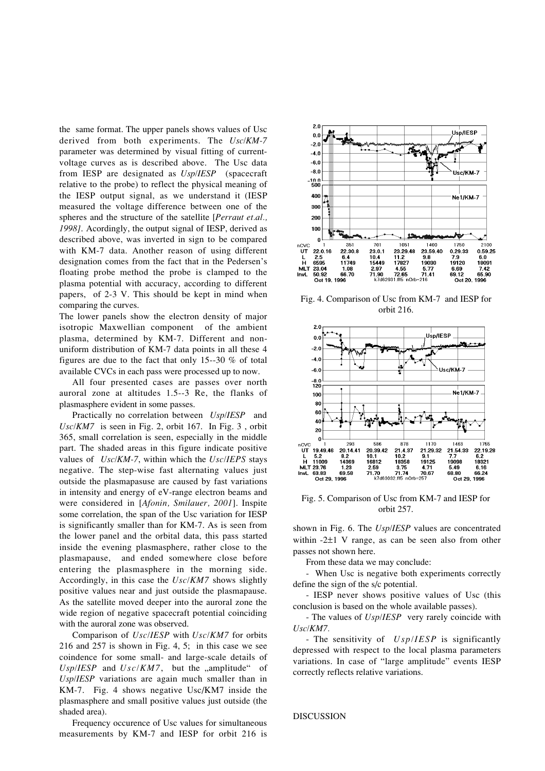the same format. The upper panels shows values of Usc derived from both experiments. The *Usc/KM-7* parameter was determined by visual fitting of currentvoltage curves as is described above. The Usc data from IESP are designated as *Usp/IESP* (spacecraft relative to the probe) to reflect the physical meaning of the IESP output signal, as we understand it (IESP measured the voltage difference between one of the spheres and the structure of the satellite [*Perraut et.al., 1998]*. Acordingly, the output signal of IESP, derived as described above, was inverted in sign to be compared with KM-7 data. Another reason of using different designation comes from the fact that in the Pedersen's floating probe method the probe is clamped to the plasma potential with accuracy, according to different papers, of 2-3 V. This should be kept in mind when comparing the curves.

The lower panels show the electron density of major isotropic Maxwellian component of the ambient plasma, determined by KM-7. Different and nonuniform distribution of KM-7 data points in all these 4 figures are due to the fact that only 15--30 % of total available CVCs in each pass were processed up to now.

All four presented cases are passes over north auroral zone at altitudes 1.5--3 Re, the flanks of plasmasphere evident in some passes.

Practically no correlation between *Usp/IESP* and *Usc/KM7* is seen in Fig. 2, orbit 167. In Fig. 3 , orbit 365, small correlation is seen, especially in the middle part. The shaded areas in this figure indicate positive values of *Usc/KM-7*, within which the *Usc/IEPS* stays negative. The step-wise fast alternating values just outside the plasmapasuse are caused by fast variations in intensity and energy of eV-range electron beams and were considered in [*Afonin, Smilauer, 2001*]. Inspite some correlation, the span of the Usc variation for IESP is significantly smaller than for KM-7. As is seen from the lower panel and the orbital data, this pass started inside the evening plasmasphere, rather close to the plasmapause, and ended somewhere close before entering the plasmasphere in the morning side. Accordingly, in this case the *Usc/KM7* shows slightly positive values near and just outside the plasmapause. As the satellite moved deeper into the auroral zone the wide region of negative spacecraft potential coinciding with the auroral zone was observed.

Comparison of *Usc/IESP* with *Usc/KM7* for orbits 216 and 257 is shown in Fig. 4, 5; in this case we see coindence for some small- and large-scale details of  $Usp/IESP$  and  $Usc/KM7$ , but the ..amplitude" of *Usp/IESP* variations are again much smaller than in KM-7. Fig. 4 shows negative Usc/KM7 inside the plasmasphere and small positive values just outside (the shaded area).

Frequency occurence of Usc values for simultaneous measurements by KM-7 and IESP for orbit 216 is



Fig. 4. Comparison of Usc from KM-7 and IESP for orbit 216.



Fig. 5. Comparison of Usc from KM-7 and IESP for orbit 257.

shown in Fig. 6. The *Usp/IESP* values are concentrated within -2±1 V range, as can be seen also from other passes not shown here.

From these data we may conclude:

- When Usc is negative both experiments correctly define the sign of the s/c potential.

- IESP never shows positive values of Usc (this conclusion is based on the whole available passes).

- The values of *Usp/IESP* very rarely coincide with *Usc/KM7.*

- The sensitivity of *Usp/IESP* is significantly depressed with respect to the local plasma parameters variations. In case of "large amplitude" events IESP correctly reflects relative variations.

DISCUSSION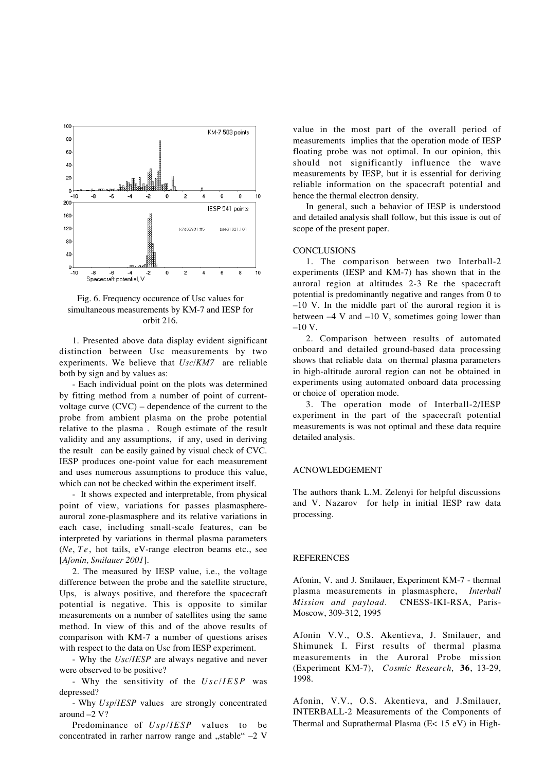

Fig. 6. Frequency occurence of Usc values for simultaneous measurements by KM-7 and IESP for orbit 216.

1. Presented above data display evident significant distinction between Usc measurements by two experiments. We believe that *Usc/KM7* are reliable both by sign and by values as:

- Each individual point on the plots was determined by fitting method from a number of point of currentvoltage curve (CVC) – dependence of the current to the probe from ambient plasma on the probe potential relative to the plasma . Rough estimate of the result validity and any assumptions, if any, used in deriving the result can be easily gained by visual check of CVC. IESP produces one-point value for each measurement and uses numerous assumptions to produce this value, which can not be checked within the experiment itself.

- It shows expected and interpretable, from physical point of view, variations for passes plasmasphereauroral zone-plasmasphere and its relative variations in each case, including small-scale features, can be interpreted by variations in thermal plasma parameters (*Ne*, *Te*, hot tails, eV-range electron beams etc., see [*Afonin, Smilauer 2001*].

2. The measured by IESP value, i.e., the voltage difference between the probe and the satellite structure, Ups, is always positive, and therefore the spacecraft potential is negative. This is opposite to similar measurements on a number of satellites using the same method. In view of this and of the above results of comparison with KM-7 a number of questions arises with respect to the data on Usc from IESP experiment.

- Why the *Usc/IESP* are always negative and never were observed to be positive?

- Why the sensitivity of the *Usc/IESP* was depressed?

- Why *Usp/IESP* values are strongly concentrated around –2 V?

Predominance of *Usp/IESP* values to be concentrated in rarher narrow range and "stable"  $-2$  V

value in the most part of the overall period of measurements implies that the operation mode of IESP floating probe was not optimal. In our opinion, this should not significantly influence the wave measurements by IESP, but it is essential for deriving reliable information on the spacecraft potential and hence the thermal electron density.

In general, such a behavior of IESP is understood and detailed analysis shall follow, but this issue is out of scope of the present paper.

#### **CONCLUSIONS**

1. The comparison between two Interball-2 experiments (IESP and KM-7) has shown that in the auroral region at altitudes 2-3 Re the spacecraft potential is predominantly negative and ranges from 0 to –10 V. In the middle part of the auroral region it is between  $-4$  V and  $-10$  V, sometimes going lower than  $-10 V$ .

2. Comparison between results of automated onboard and detailed ground-based data processing shows that reliable data on thermal plasma parameters in high-altitude auroral region can not be obtained in experiments using automated onboard data processing or choice of operation mode.

3. The operation mode of Interball-2/IESP experiment in the part of the spacecraft potential measurements is was not optimal and these data require detailed analysis.

### ACNOWLEDGEMENT

The authors thank L.M. Zelenyi for helpful discussions and V. Nazarov for help in initial IESP raw data processing.

## **REFERENCES**

Afonin, V. and J. Smilauer, Experiment KM-7 - thermal plasma measurements in plasmasphere, *Interball Mission and payload.* CNESS-IKI-RSA, Paris-Moscow, 309-312, 1995

Afonin V.V., O.S. Akentieva, J. Smilauer, and Shimunek I. First results of thermal plasma measurements in the Auroral Probe mission (Experiment KM-7), *Cosmic Research*, **36**, 13-29, 1998.

Afonin, V.V., O.S. Akentieva, and J.Smilauer, INTERBALL-2 Measurements of the Components of Thermal and Suprathermal Plasma (E< 15 eV) in High